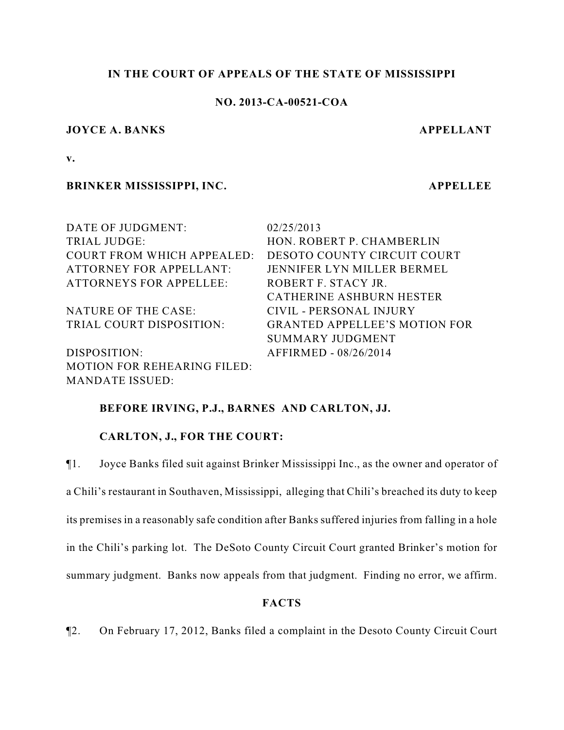## **IN THE COURT OF APPEALS OF THE STATE OF MISSISSIPPI**

## **NO. 2013-CA-00521-COA**

#### **JOYCE A. BANKS APPELLANT**

**v.**

### **BRINKER MISSISSIPPI, INC. APPELLEE**

| DATE OF JUDGMENT:                  | 02/25/2013                           |
|------------------------------------|--------------------------------------|
| TRIAL JUDGE:                       | HON. ROBERT P. CHAMBERLIN            |
| COURT FROM WHICH APPEALED:         | DESOTO COUNTY CIRCUIT COURT          |
| <b>ATTORNEY FOR APPELLANT:</b>     | JENNIFER LYN MILLER BERMEL           |
| <b>ATTORNEYS FOR APPELLEE:</b>     | ROBERT F. STACY JR.                  |
|                                    | CATHERINE ASHBURN HESTER             |
| NATURE OF THE CASE:                | CIVIL - PERSONAL INJURY              |
| TRIAL COURT DISPOSITION:           | <b>GRANTED APPELLEE'S MOTION FOR</b> |
|                                    | <b>SUMMARY JUDGMENT</b>              |
| DISPOSITION:                       | AFFIRMED - 08/26/2014                |
| <b>MOTION FOR REHEARING FILED:</b> |                                      |
| <b>MANDATE ISSUED:</b>             |                                      |

## **BEFORE IRVING, P.J., BARNES AND CARLTON, JJ.**

## **CARLTON, J., FOR THE COURT:**

¶1. Joyce Banks filed suit against Brinker Mississippi Inc., as the owner and operator of a Chili's restaurant in Southaven, Mississippi, alleging that Chili's breached its duty to keep its premises in a reasonably safe condition after Banks suffered injuries from falling in a hole in the Chili's parking lot. The DeSoto County Circuit Court granted Brinker's motion for summary judgment. Banks now appeals from that judgment. Finding no error, we affirm.

## **FACTS**

¶2. On February 17, 2012, Banks filed a complaint in the Desoto County Circuit Court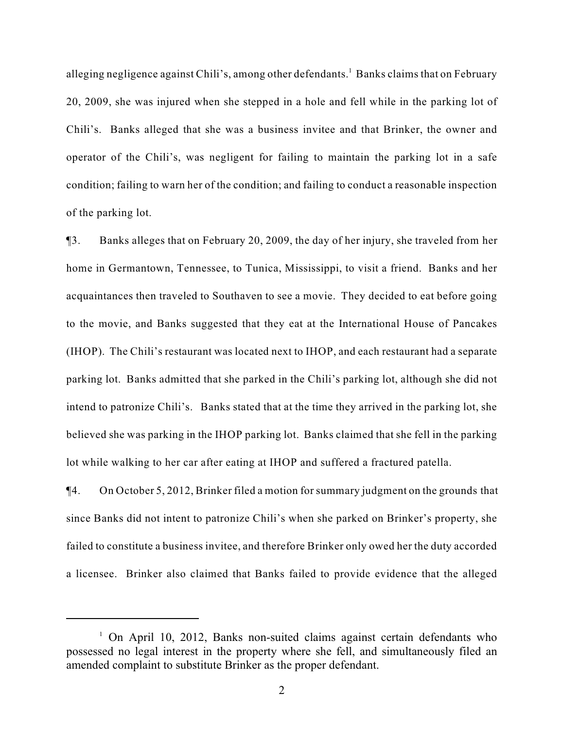alleging negligence against Chili's, among other defendants.<sup>1</sup> Banks claims that on February 20, 2009, she was injured when she stepped in a hole and fell while in the parking lot of Chili's. Banks alleged that she was a business invitee and that Brinker, the owner and operator of the Chili's, was negligent for failing to maintain the parking lot in a safe condition; failing to warn her of the condition; and failing to conduct a reasonable inspection of the parking lot.

¶3. Banks alleges that on February 20, 2009, the day of her injury, she traveled from her home in Germantown, Tennessee, to Tunica, Mississippi, to visit a friend. Banks and her acquaintances then traveled to Southaven to see a movie. They decided to eat before going to the movie, and Banks suggested that they eat at the International House of Pancakes (IHOP). The Chili's restaurant was located next to IHOP, and each restaurant had a separate parking lot. Banks admitted that she parked in the Chili's parking lot, although she did not intend to patronize Chili's. Banks stated that at the time they arrived in the parking lot, she believed she was parking in the IHOP parking lot. Banks claimed that she fell in the parking lot while walking to her car after eating at IHOP and suffered a fractured patella.

¶4. On October 5, 2012, Brinker filed a motion for summary judgment on the grounds that since Banks did not intent to patronize Chili's when she parked on Brinker's property, she failed to constitute a business invitee, and therefore Brinker only owed her the duty accorded a licensee. Brinker also claimed that Banks failed to provide evidence that the alleged

 $1$  On April 10, 2012, Banks non-suited claims against certain defendants who possessed no legal interest in the property where she fell, and simultaneously filed an amended complaint to substitute Brinker as the proper defendant.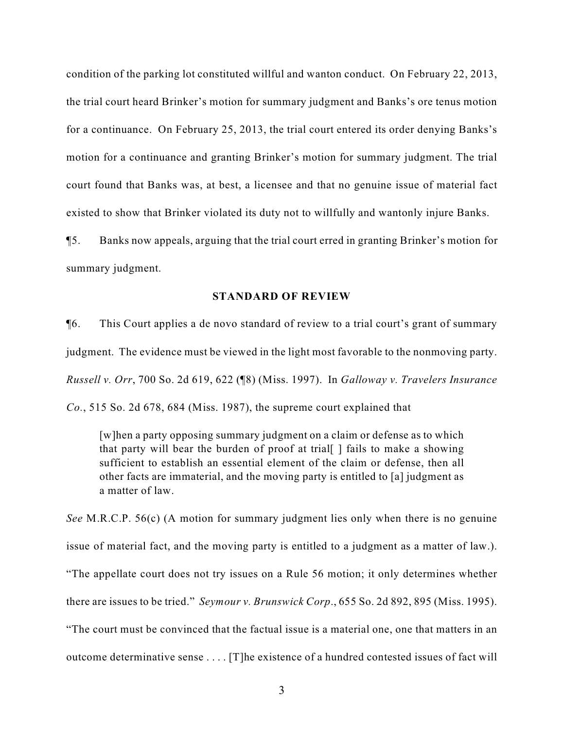condition of the parking lot constituted willful and wanton conduct. On February 22, 2013, the trial court heard Brinker's motion for summary judgment and Banks's ore tenus motion for a continuance. On February 25, 2013, the trial court entered its order denying Banks's motion for a continuance and granting Brinker's motion for summary judgment. The trial court found that Banks was, at best, a licensee and that no genuine issue of material fact existed to show that Brinker violated its duty not to willfully and wantonly injure Banks.

¶5. Banks now appeals, arguing that the trial court erred in granting Brinker's motion for summary judgment.

## **STANDARD OF REVIEW**

¶6. This Court applies a de novo standard of review to a trial court's grant of summary judgment. The evidence must be viewed in the light most favorable to the nonmoving party. *Russell v. Orr*, 700 So. 2d 619, 622 (¶8) (Miss. 1997). In *Galloway v. Travelers Insurance Co.*, 515 So. 2d 678, 684 (Miss. 1987), the supreme court explained that

[w]hen a party opposing summary judgment on a claim or defense as to which that party will bear the burden of proof at trial[ ] fails to make a showing sufficient to establish an essential element of the claim or defense, then all other facts are immaterial, and the moving party is entitled to [a] judgment as a matter of law.

*See* M.R.C.P. 56(c) (A motion for summary judgment lies only when there is no genuine issue of material fact, and the moving party is entitled to a judgment as a matter of law.). "The appellate court does not try issues on a Rule 56 motion; it only determines whether there are issues to be tried." *Seymour v. Brunswick Corp*., 655 So. 2d 892, 895 (Miss. 1995). "The court must be convinced that the factual issue is a material one, one that matters in an outcome determinative sense . . . . [T]he existence of a hundred contested issues of fact will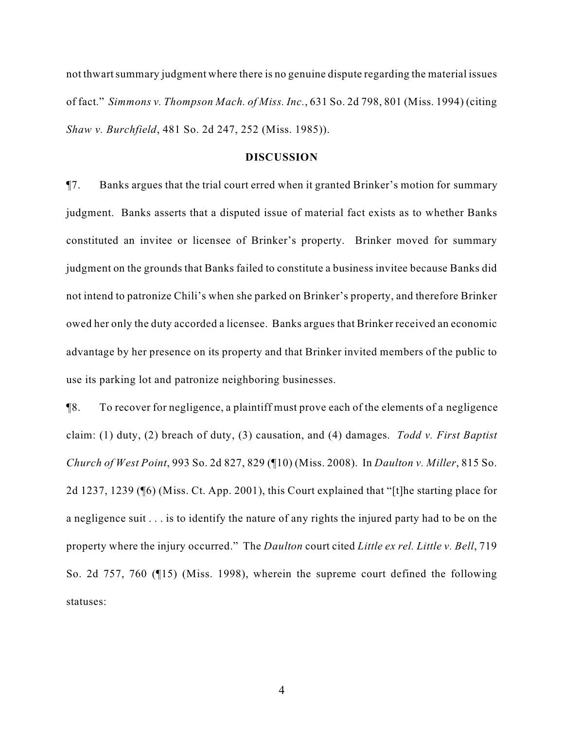not thwart summary judgment where there is no genuine dispute regarding the material issues of fact." *Simmons v. Thompson Mach. of Miss. Inc.*, 631 So. 2d 798, 801 (Miss. 1994) (citing *Shaw v. Burchfield*, 481 So. 2d 247, 252 (Miss. 1985)).

#### **DISCUSSION**

¶7. Banks argues that the trial court erred when it granted Brinker's motion for summary judgment. Banks asserts that a disputed issue of material fact exists as to whether Banks constituted an invitee or licensee of Brinker's property. Brinker moved for summary judgment on the grounds that Banks failed to constitute a business invitee because Banks did not intend to patronize Chili's when she parked on Brinker's property, and therefore Brinker owed her only the duty accorded a licensee. Banks argues that Brinker received an economic advantage by her presence on its property and that Brinker invited members of the public to use its parking lot and patronize neighboring businesses.

¶8. To recover for negligence, a plaintiff must prove each of the elements of a negligence claim: (1) duty, (2) breach of duty, (3) causation, and (4) damages. *Todd v. First Baptist Church of West Point*, 993 So. 2d 827, 829 (¶10) (Miss. 2008). In *Daulton v. Miller*, 815 So. 2d 1237, 1239 (¶6) (Miss. Ct. App. 2001), this Court explained that "[t]he starting place for a negligence suit . . . is to identify the nature of any rights the injured party had to be on the property where the injury occurred." The *Daulton* court cited *Little ex rel. Little v. Bell*, 719 So. 2d 757, 760 (¶15) (Miss. 1998), wherein the supreme court defined the following statuses: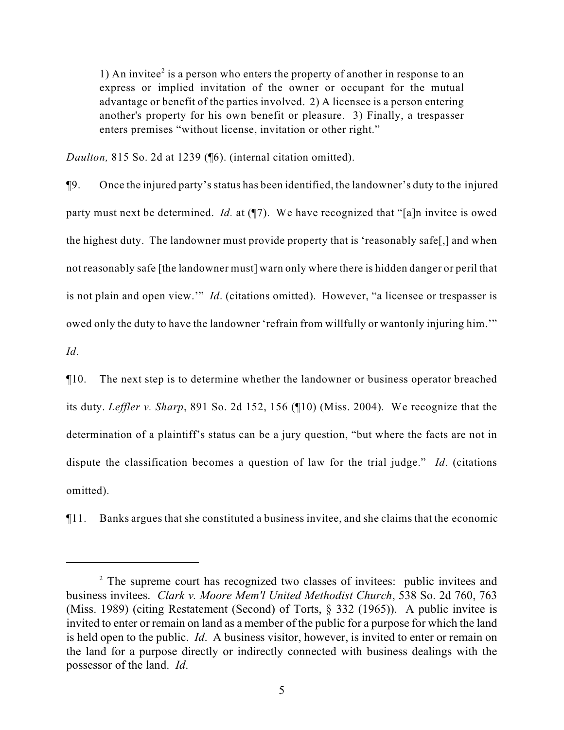1) An invitee<sup>2</sup> is a person who enters the property of another in response to an express or implied invitation of the owner or occupant for the mutual advantage or benefit of the parties involved. 2) A licensee is a person entering another's property for his own benefit or pleasure. 3) Finally, a trespasser enters premises "without license, invitation or other right."

*Daulton,* 815 So. 2d at 1239 (¶6). (internal citation omitted).

¶9. Once the injured party's status has been identified, the landowner's duty to the injured party must next be determined. *Id.* at (¶7). We have recognized that "[a]n invitee is owed the highest duty. The landowner must provide property that is 'reasonably safe[,] and when not reasonably safe [the landowner must] warn only where there is hidden danger or peril that is not plain and open view.'" *Id*. (citations omitted). However, "a licensee or trespasser is owed only the duty to have the landowner 'refrain from willfully or wantonly injuring him.'" *Id*.

¶10. The next step is to determine whether the landowner or business operator breached its duty. *Leffler v. Sharp*, 891 So. 2d 152, 156 (¶10) (Miss. 2004). We recognize that the determination of a plaintiff's status can be a jury question, "but where the facts are not in dispute the classification becomes a question of law for the trial judge." *Id*. (citations omitted).

¶11. Banks argues that she constituted a business invitee, and she claims that the economic

<sup>&</sup>lt;sup>2</sup> The supreme court has recognized two classes of invitees: public invitees and business invitees. *Clark v. Moore Mem'l United Methodist Church*, 538 So. 2d 760, 763 (Miss. 1989) (citing Restatement (Second) of Torts, § 332 (1965)). A public invitee is invited to enter or remain on land as a member of the public for a purpose for which the land is held open to the public. *Id*. A business visitor, however, is invited to enter or remain on the land for a purpose directly or indirectly connected with business dealings with the possessor of the land. *Id*.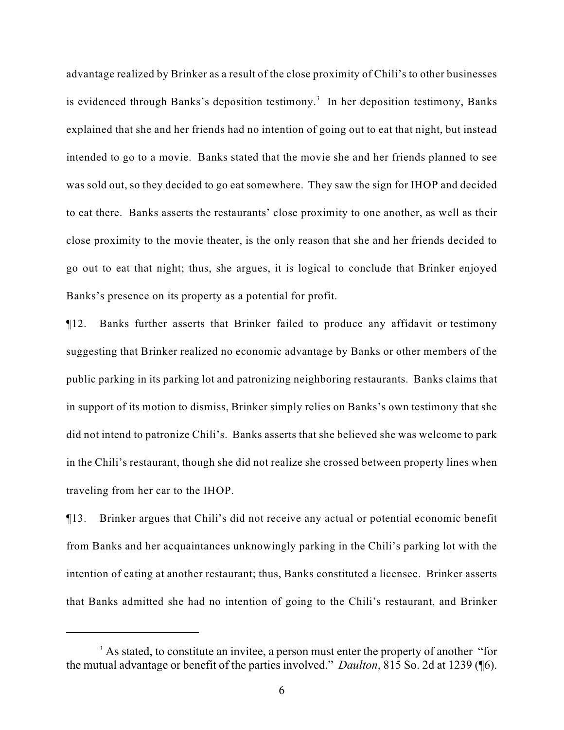advantage realized by Brinker as a result of the close proximity of Chili's to other businesses is evidenced through Banks's deposition testimony.<sup>3</sup> In her deposition testimony, Banks explained that she and her friends had no intention of going out to eat that night, but instead intended to go to a movie. Banks stated that the movie she and her friends planned to see was sold out, so they decided to go eat somewhere. They saw the sign for IHOP and decided to eat there. Banks asserts the restaurants' close proximity to one another, as well as their close proximity to the movie theater, is the only reason that she and her friends decided to go out to eat that night; thus, she argues, it is logical to conclude that Brinker enjoyed Banks's presence on its property as a potential for profit.

¶12. Banks further asserts that Brinker failed to produce any affidavit or testimony suggesting that Brinker realized no economic advantage by Banks or other members of the public parking in its parking lot and patronizing neighboring restaurants. Banks claims that in support of its motion to dismiss, Brinker simply relies on Banks's own testimony that she did not intend to patronize Chili's. Banks asserts that she believed she was welcome to park in the Chili's restaurant, though she did not realize she crossed between property lines when traveling from her car to the IHOP.

¶13. Brinker argues that Chili's did not receive any actual or potential economic benefit from Banks and her acquaintances unknowingly parking in the Chili's parking lot with the intention of eating at another restaurant; thus, Banks constituted a licensee. Brinker asserts that Banks admitted she had no intention of going to the Chili's restaurant, and Brinker

<sup>&</sup>lt;sup>3</sup> As stated, to constitute an invitee, a person must enter the property of another "for the mutual advantage or benefit of the parties involved." *Daulton*, 815 So. 2d at 1239 (¶6).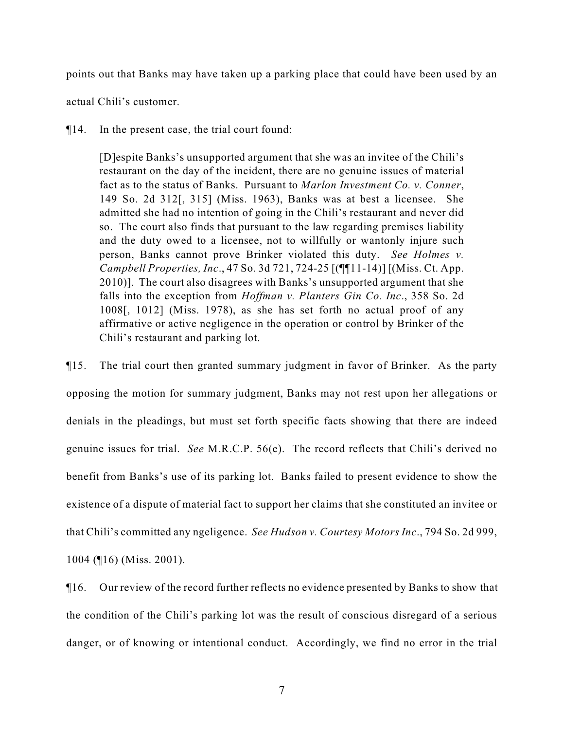points out that Banks may have taken up a parking place that could have been used by an

actual Chili's customer.

¶14. In the present case, the trial court found:

[D]espite Banks's unsupported argument that she was an invitee of the Chili's restaurant on the day of the incident, there are no genuine issues of material fact as to the status of Banks. Pursuant to *Marlon Investment Co. v. Conner*, 149 So. 2d 312[, 315] (Miss. 1963), Banks was at best a licensee. She admitted she had no intention of going in the Chili's restaurant and never did so. The court also finds that pursuant to the law regarding premises liability and the duty owed to a licensee, not to willfully or wantonly injure such person, Banks cannot prove Brinker violated this duty. *See Holmes v. Campbell Properties, Inc*., 47 So. 3d 721, 724-25 [(¶¶11-14)] [(Miss. Ct. App. 2010)]. The court also disagrees with Banks's unsupported argument that she falls into the exception from *Hoffman v. Planters Gin Co. Inc*., 358 So. 2d 1008[, 1012] (Miss. 1978), as she has set forth no actual proof of any affirmative or active negligence in the operation or control by Brinker of the Chili's restaurant and parking lot.

¶15. The trial court then granted summary judgment in favor of Brinker. As the party opposing the motion for summary judgment, Banks may not rest upon her allegations or denials in the pleadings, but must set forth specific facts showing that there are indeed genuine issues for trial. *See* M.R.C.P. 56(e). The record reflects that Chili's derived no benefit from Banks's use of its parking lot. Banks failed to present evidence to show the existence of a dispute of material fact to support her claims that she constituted an invitee or that Chili's committed any ngeligence. *See Hudson v. Courtesy Motors Inc*., 794 So. 2d 999, 1004 (¶16) (Miss. 2001).

¶16. Our review of the record further reflects no evidence presented by Banks to show that the condition of the Chili's parking lot was the result of conscious disregard of a serious danger, or of knowing or intentional conduct. Accordingly, we find no error in the trial